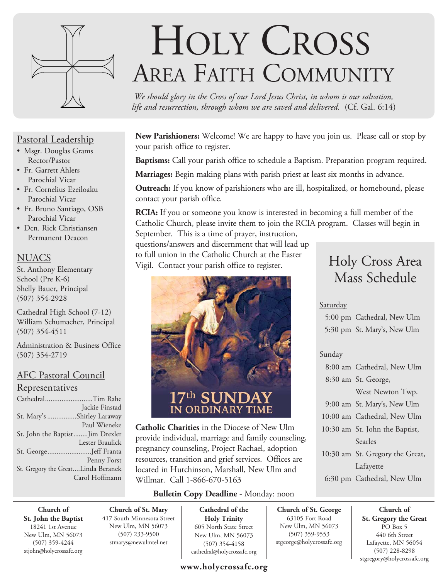

#### Pastoral Leadership

- Msgr. Douglas Grams Rector/Pastor
- Fr. Garrett Ahlers Parochial Vicar
- Fr. Cornelius Ezeiloaku Parochial Vicar
- Fr. Bruno Santiago, OSB Parochial Vicar
- Dcn. Rick Christiansen Permanent Deacon

#### **NUACS**

St. Anthony Elementary School (Pre K-6) Shelly Bauer, Principal (507) 354-2928

Cathedral High School (7-12) William Schumacher, Principal (507) 354-4511

Administration & Business Office (507) 354-2719

#### AFC Pastoral Council **Representatives**

| CathedralTim Rahe                  |                 |
|------------------------------------|-----------------|
|                                    | Jackie Finstad  |
| St. Mary's Shirley Laraway         |                 |
|                                    | Paul Wieneke    |
| St. John the BaptistJim Drexler    |                 |
|                                    | Lester Braulick |
| St. GeorgeJeff Franta              |                 |
|                                    | Penny Forst     |
| St. Gregory the GreatLinda Beranek |                 |
|                                    | Carol Hoffmann  |
|                                    |                 |

# HOLY CROSS AREA FAITH COMMUNITY

*We should glory in the Cross of our Lord Jesus Christ, in whom is our salvation, life and resurrection, through whom we are saved and delivered.* (Cf. Gal. 6:14)

**New Parishioners:** Welcome! We are happy to have you join us. Please call or stop by your parish office to register.

**Baptisms:** Call your parish office to schedule a Baptism. Preparation program required.

**Marriages:** Begin making plans with parish priest at least six months in advance.

**Outreach:** If you know of parishioners who are ill, hospitalized, or homebound, please contact your parish office.

**RCIA:** If you or someone you know is interested in becoming a full member of the Catholic Church, please invite them to join the RCIA program. Classes will begin in September. This is a time of prayer, instruction,

questions/answers and discernment that will lead up to full union in the Catholic Church at the Easter Vigil. Contact your parish office to register.



**Catholic Charities** in the Diocese of New Ulm provide individual, marriage and family counseling, pregnancy counseling, Project Rachael, adoption resources, transition and grief services. Offices are located in Hutchinson, Marshall, New Ulm and Willmar. Call 1-866-670-5163

#### **Bulletin Copy Deadline** - Monday: noon

**Church of St. John the Baptist** 18241 1st Avenue New Ulm, MN 56073 (507) 359-4244 stjohn@holycrossafc.org

**Church of St. Mary** 417 South Minnesota Street New Ulm, MN 56073 (507) 233-9500 stmarys@newulmtel.net

**Cathedral of the Holy Trinity** 605 North State Street New Ulm, MN 56073 (507) 354-4158 cathedral@holycrossafc.org

#### **www.holycrossafc.org**

## Holy Cross Area Mass Schedule

#### Saturday

 5:00 pm Cathedral, New Ulm 5:30 pm St. Mary's, New Ulm

#### Sunday

**Church of St. George** 63105 Fort Road New Ulm, MN 56073 (507) 359-9553 stgeorge@holycrossafc.org

| 8:00 am Cathedral, New Ulm      |
|---------------------------------|
| 8:30 am St. George,             |
| West Newton Twp.                |
| 9:00 am St. Mary's, New Ulm     |
| 10:00 am Cathedral, New Ulm     |
| 10:30 am St. John the Baptist,  |
| Searles                         |
| 10:30 am St. Gregory the Great, |
| Lafayette                       |
| 6:30 pm Cathedral, New Ulm      |

**Church of St. Gregory the Great**  PO Box 5 440 6th Street Lafayette, MN 56054 (507) 228-8298 stgregory@holycrossafc.org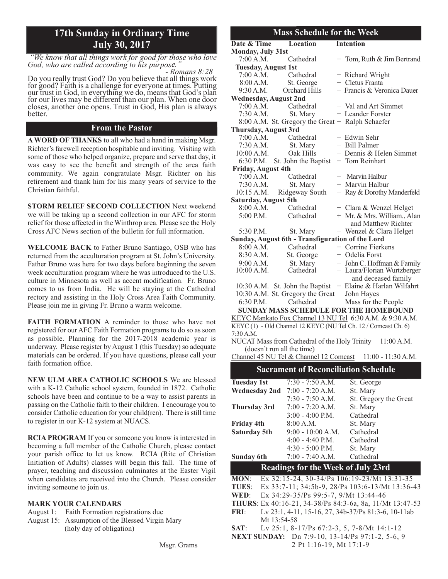## **17th Sunday in Ordinary Time**

*"We know that all things work for good for those who love God, who are called according to his purpose." - Romans 8:28*

Do you really trust God? Do you believe that all things work for good? Faith is a challenge for everyone at times. Putting our trust in God, in everything we do, means that God's plan for our lives may be different than our plan. When one door closes, another one opens. Trust in God, His plan is always better.

#### **From the Pastor**

**A WORD OF THANKS** to all who had a hand in making Msgr. Richter's farewell reception hospitable and inviting. Visiting with some of those who helped organize, prepare and serve that day, it was easy to see the benefit and strength of the area faith community. We again congratulate Msgr. Richter on his retirement and thank him for his many years of service to the Christian faithful.

**STORM RELIEF SECOND COLLECTION** Next weekend we will be taking up a second collection in our AFC for storm relief for those affected in the Winthrop area. Please see the Holy Cross AFC News section of the bulletin for full information.

**WELCOME BACK** to Father Bruno Santiago, OSB who has returned from the acculturation program at St. John's University. Father Bruno was here for two days before beginning the seven week acculturation program where he was introduced to the U.S. culture in Minnesota as well as accent modification. Fr. Bruno comes to us from India. He will be staying at the Cathedral rectory and assisting in the Holy Cross Area Faith Community. Please join me in giving Fr. Bruno a warm welcome.

**FAITH FORMATION** A reminder to those who have not registered for our AFC Faith Formation programs to do so as soon as possible. Planning for the 2017-2018 academic year is underway. Please register by August 1 (this Tuesday) so adequate materials can be ordered. If you have questions, please call your faith formation office.

**NEW ULM AREA CATHOLIC SCHOOLS** We are blessed with a K-12 Catholic school system, founded in 1872. Catholic schools have been and continue to be a way to assist parents in passing on the Catholic faith to their children. I encourage you to consider Catholic education for your child(ren). There is still time to register in our K-12 system at NUACS.

**RCIA PROGRAM** If you or someone you know is interested in becoming a full member of the Catholic Church, please contact your parish office to let us know. RCIA (Rite of Christian Initiation of Adults) classes will begin this fall. The time of prayer, teaching and discussion culminates at the Easter Vigil when candidates are received into the Church. Please consider inviting someone to join us.

#### **MARK YOUR CALENDARS**

- August 1: Faith Formation registrations due
- August 15: Assumption of the Blessed Virgin Mary (holy day of obligation)

#### **July 30, 2017 Date & Time Location Intention Monday, July 31st** 7:00 A.M. Cathedral  $+$  Tom, Ruth & Jim Bertrand **Tuesday, August 1st**  $7:00$  A.M. Cathedral  $+$  Richard Wright  $8:00$  A.M. St. George  $+$  Cletus Franta 9:30 A.M. Orchard Hills  $+$  Francis & Veronica Dauer **Wednesday, August 2nd**  $7:00$  A.M. Cathedral  $+$  Val and Art Simmet  $7:30$  A.M. St. Mary  $+$  Leander Forster 8:00 A.M. St. Gregory the Great + Ralph Schaefer **Thursday, August 3rd** 7:00 A.M. Cathedral + Edwin Sehr<br>7:30 A.M. St. Mary + Bill Palmer + Bill Palmer  $10:00$  A.M. Oak Hills  $+$  Dennis & Helen Simmet 6:30 P.M. St. John the Baptist  $+$  Tom Reinhart **Friday, August 4th** 7:00 A.M. Cathedral + Marvin Halbur 7:30 A.M. St. Mary + Marvin Halbur 10:15 A.M. Ridgeway South  $+$  Ray & Dorothy Manderfeld **Saturday, August 5th** 8:00 A.M. Cathedral  $+$  Clara & Wenzel Helget  $5:00$  P.M. Cathedral  $+$  Mr. & Mrs. William., Alan and Matthew Richter 5:30 P.M. St. Mary  $+$  Wenzel & Clara Helget **Sunday, August 6th - Transfiguration of the Lord**  $8:00$  A.M. Cathedral  $+$  Corrine Fierkens 8:30 A.M. St. George + Odelia Forst 9:00 A.M. St. Mary + John C. Hoffman & Family<br>10:00 A.M. Cathedral + Laura/Florian Wurtzberger + Laura/Florian Wurtzberger and deceased family 10:30 A.M. St. John the Baptist  $+$  Elaine & Harlan Wilfahrt 10:30 A.M. St. Gregory the Great John Hayes 6:30 P.M. Cathedral Mass for the People **Mass Schedule for the Week SUNDAY MASS SCHEDULE FOR THE HOMEBOUND** KEYC Mankato Fox Channel 13 NU Tel 6:30 A.M. & 9:30 A.M.

KEYC (1) - Old Channel 12 KEYC (NU Tel Ch. 12 / Comcast Ch. 6) 7:30 A.M. NUCAT Mass from Cathedral of the Holy Trinity 11:00 A.M.

(doesn't run all the time) Channel 45 NU Tel & Channel 12 Comcast 11:00 - 11:30 A.M.

#### **Sacrament of Reconciliation Schedule**

| <b>Tuesday 1st</b> |             | $7:30 - 7:50$ A.M.                                     | St. George                                               |
|--------------------|-------------|--------------------------------------------------------|----------------------------------------------------------|
| Wednesday 2nd      |             | $7:00 - 7:20 A.M.$                                     | St. Mary                                                 |
|                    |             | $7:30 - 7:50 A.M.$                                     | St. Gregory the Great                                    |
| Thursday 3rd       |             | $7:00 - 7:20 A.M.$                                     | St. Mary                                                 |
|                    |             | $3:00 - 4:00$ P.M.                                     | Cathedral                                                |
| <b>Friday 4th</b>  |             | 8:00 A.M.                                              | St. Mary                                                 |
| Saturday 5th       |             | $9:00 - 10:00 A.M.$                                    | Cathedral                                                |
|                    |             | $4:00 - 4:40$ P.M.                                     | Cathedral                                                |
|                    |             | $4:30 - 5:00$ P.M.                                     | St. Mary                                                 |
| Sunday 6th         |             | $7:00 - 7:40$ A.M.                                     | Cathedral                                                |
|                    |             |                                                        |                                                          |
|                    |             | <b>Readings for the Week of July 23rd</b>              |                                                          |
| <b>MON:</b>        |             |                                                        | Ex 32:15-24, 30-34/Ps 106:19-23/Mt 13:31-35              |
|                    |             |                                                        | TUES: Ex 33:7-11; 34:5b-9, 28/Ps 103:6-13/Mt 13:36-43    |
| WED:               |             | Ex 34:29-35/Ps 99:5-7, 9/Mt 13:44-46                   |                                                          |
|                    |             |                                                        | THURS: Ex 40:16-21, 34-38/Ps 84:3-6a, 8a, 11/Mt 13:47-53 |
| <b>FRI:</b>        |             |                                                        | Lv 23:1, 4-11, 15-16, 27, 34b-37/Ps 81:3-6, 10-11ab      |
|                    | Mt 13:54-58 |                                                        |                                                          |
| SAT:               |             | Lv 25:1, 8-17/Ps $67:2-3$ , 5, 7-8/Mt 14:1-12          |                                                          |
|                    |             | <b>NEXT SUNDAY:</b> Dn 7:9-10, 13-14/Ps 97:1-2, 5-6, 9 |                                                          |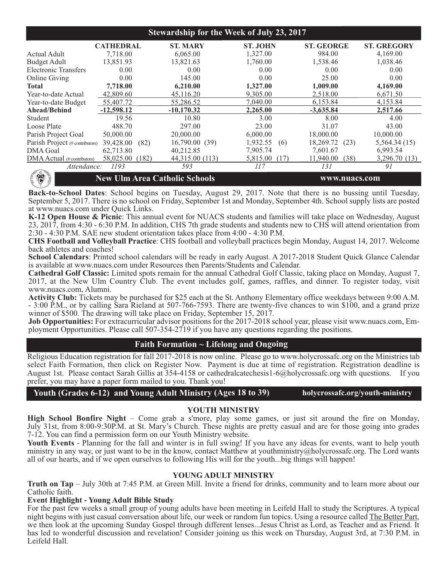| <b>Stewardship for the Week of July 23, 2017</b> |                                      |                 |                  |                   |                    |
|--------------------------------------------------|--------------------------------------|-----------------|------------------|-------------------|--------------------|
|                                                  | <b>CATHEDRAL</b>                     | <b>ST. MARY</b> | <b>ST. JOHN</b>  | <b>ST. GEORGE</b> | <b>ST. GREGORY</b> |
| Actual Adult                                     | 7,718.00                             | 6,065.00        | 1,327.00         | 984.00            | 4,169.00           |
| <b>Budget Adult</b>                              | 13,851.93                            | 13,821.63       | 1,760.00         | 1,538.46          | 1,038.46           |
| <b>Electronic Transfers</b>                      | 0.00                                 | 0.00            | 0.00             | 0.00              | 0.00               |
| Online Giving                                    | 0.00                                 | 145.00          | 0.00             | 25.00             | 0.00               |
| <b>Total</b>                                     | 7,718.00                             | 6,210.00        | 1,327.00         | 1,009.00          | 4,169.00           |
| Year-to-date Actual                              | 42,809.60                            | 45,116.20       | 9,305.00         | 2,518.00          | 6,671.50           |
| Year-to-date Budget                              | 55,407.72                            | 55,286.52       | 7.040.00         | 6,153.84          | 4,153.84           |
| Ahead/Behind                                     | $-12,598,12$                         | $-10,170.32$    | 2,265.00         | $-3.635.84$       | 2,517.66           |
| Student                                          | 19.56                                | 10.80           | 3.00             | 8.00              | 4.00               |
| Loose Plate                                      | 488.70                               | 297.00          | 23.00            | 31.07             | 43.00              |
| Parish Project Goal                              | 50,000.00                            | 20,000.00       | 6,000.00         | 18,000.00         | 10,000.00          |
| Parish Project (#contributors)                   | 39,428.00<br>(82)                    | 16,790.00(39)   | 1,932.55<br>(6)  | 18,269.72<br>(23) | 5,564.34 (15)      |
| <b>DMA</b> Goal                                  | 62,713.80                            | 40,212.85       | 7,905.74         | 7,601.67          | 6,993.54           |
| DMA Actual (# contributors)                      | 58,025.00<br>(182)                   | 44,315.00 (113) | 5,815.00<br>(17) | 11,940.00<br>(38) | 3,296.70 (13)      |
| Attendance:                                      | 1193                                 | 593             | 117              | 131               | 91                 |
| 得                                                | <b>New Ulm Area Catholic Schools</b> |                 |                  | www.nuacs.com     |                    |

**Back-to-School Dates**: School begins on Tuesday, August 29, 2017. Note that there is no bussing until Tuesday, September 5, 2017. There is no school on Friday, September 1st and Monday, September 4th. School supply lists are posted at www.nuacs.com under Quick Links.

**K-12 Open House & Picnic**: This annual event for NUACS students and families will take place on Wednesday, August 23, 2017, from 4:30 - 6:30 P.M. In addition, CHS 7th grade students and students new to CHS will attend orientation from 2:30 - 4:30 P.M. SAE new student orientation takes place from 4:00 - 4:30 P.M.

**CHS Football and Volleyball Practice**: CHS football and volleyball practices begin Monday, August 14, 2017. Welcome back athletes and coaches!

**School Calendars**: Printed school calendars will be ready in early August. A 2017-2018 Student Quick Glance Calendar is available at www.nuacs.com under Resources then Parents/Students and Calendar.

**Cathedral Golf Classic:** Limited spots remain for the annual Cathedral Golf Classic, taking place on Monday, August 7, 2017, at the New Ulm Country Club. The event includes golf, games, raffles, and dinner. To register today, visit www.nuacs.com, Alumni.

**Activity Club:** Tickets may be purchased for \$25 each at the St. Anthony Elementary office weekdays between 9:00 A.M. - 3:00 P.M., or by calling Sara Rieland at 507-766-7593. There are twenty-five chances to win \$100, and a grand prize winner of \$500. The drawing will take place on Friday, September 15, 2017.

**Job Opportunities:** For extracurricular advisor positions for the 2017-2018 school year, please visit www.nuacs.com, Employment Opportunities. Please call 507-354-2719 if you have any questions regarding the positions.

#### **Faith Formation ~ Lifelong and Ongoing**

Religious Education registration for fall 2017-2018 is now online. Please go to www.holycrossafc.org on the Ministries tab select Faith Formation, then click on Register Now. Payment is due at time of registration. Registration deadline is August 1st. Please contact Sarah Gillis at 354-4158 or cathedralcatechesis1-6@holycrossafc.org with questions. If you prefer, you may have a paper form mailed to you. Thank you!

Youth (Grades 6-12) and Young Adult Ministry (Ages 18 to 39) holycrossafc.org/youth-ministry

#### **YOUTH MINISTRY**

**High School Bonfire Night** – Come grab a s'more, play some games, or just sit around the fire on Monday, July 31st, from 8:00-9:30P.M. at St. Mary's Church. These nights are pretty casual and are for those going into grades 7-12. You can find a permission form on our Youth Ministry website.

Youth Events - Planning for the fall and winter is in full swing! If you have any ideas for events, want to help youth ministry in any way, or just want to be in the know, contact Matthew at youthministry@holycrossafc.org. The Lord wants all of our hearts, and if we open ourselves to following His will for the youth...big things will happen!

#### **YOUNG ADULT MINISTRY**

**Truth on Tap** – July 30th at 7:45 P.M. at Green Mill. Invite a friend for drinks, community and to learn more about our Catholic faith.

#### **Event Highlight - Young Adult Bible Study**

For the past few weeks a small group of young adults have been meeting in Leifeld Hall to study the Scriptures. A typical night begins with just casual conversation about life, our week or random fun topics. Using a resource called The Better Part, we then look at the upcoming Sunday Gospel through different lenses...Jesus Christ as Lord, as Teacher and as Friend. It has led to wonderful discussion and revelation! Consider joining us this week on Thursday, August 3rd, at 7:30 P.M. in Leifeld Hall.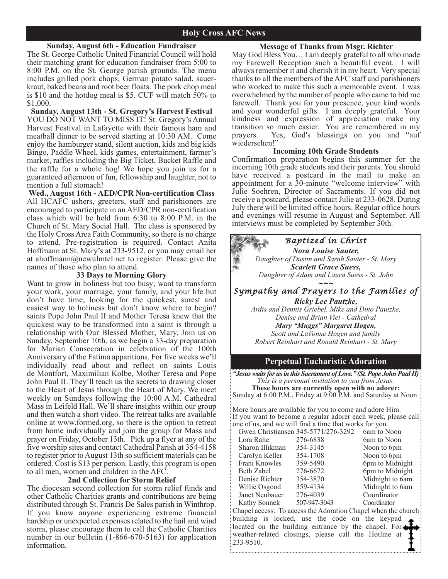#### **Sunday, August 6th - Education Fundraiser**

The St. George Catholic United Financial Council will hold their matching grant for education fundraiser from 5:00 to 8:00 P.M. on the St. George parish grounds. The menu includes grilled pork chops, German potato salad, sauerkraut, baked beans and root beer floats. The pork chop meal is \$10 and the hotdog meal is \$5. CUF will match 50% to \$1,000.

#### **Sunday, August 13th - St. Gregory's Harvest Festival**

YOU DO NOT WANT TO MISS IT! St. Gregory's Annual Harvest Festival in Lafayette with their famous ham and meatball dinner to be served starting at 10:30 AM. Come enjoy the hamburger stand, silent auction, kids and big kids Bingo, Paddle Wheel, kids games, entertainment, farmer's market, raffles including the Big Ticket, Bucket Raffle and the raffle for a whole hog! We hope you join us for a guaranteed afternoon of fun, fellowship and laughter, not to mention a full stomach!

**Wed., August 16th - AED/CPR Non-certification Class** All HCAFC ushers, greeters, staff and parishioners are encouraged to participate in an AED/CPR non-certification class which will be held from 6:30 to 8:00 P.M. in the Church of St. Mary Social Hall. The class is sponsored by the Holy Cross Area Faith Community, so there is no charge to attend. Pre-registration is required. Contact Anita Hoffmann at St. Mary's at 233-9512, or you may email her at ahoffmann@newulmtel.net to register. Please give the names of those who plan to attend.

#### **33 Days to Morning Glory**

Want to grow in holiness but too busy; want to transform your work, your marriage, your family, and your life but don't have time; looking for the quickest, surest and easiest way to holiness but don't know where to begin? saints Pope John Paul II and Mother Teresa knew that the quickest way to be transformed into a saint is through a relationship with Our Blessed Mother, Mary. Join us on Sunday, September 10th, as we begin a 33-day preparation for Marian Consecration in celebration of the 100th Anniversary of the Fatima apparitions. For five weeks we'll individually read about and reflect on saints Louis de Montfort, Maximilian Kolbe, Mother Teresa and Pope John Paul II. They'll teach us the secrets to drawing closer to the Heart of Jesus through the Heart of Mary. We meet weekly on Sundays following the 10:00 A.M. Cathedral Mass in Leifeld Hall. We'll share insights within our group and then watch a short video. The retreat talks are available online at www.formed.org, so there is the option to retreat from home individually and join the group for Mass and prayer on Friday, October 13th. Pick up a flyer at any of the five worship sites and contact Cathedral Parish at 354-4158 to register prior to August 13th so sufficient materials can be ordered. Cost is \$13 per person. Lastly, this program is open to all men, women and children in the AFC.

#### **2nd Collection for Storm Relief**

The diocesan second collection for storm relief funds and other Catholic Charities grants and contributions are being distributed through St. Francis De Sales parish in Winthrop. If you know anyone experiencing extreme financial hardship or unexpected expenses related to the hail and wind storm, please encourage them to call the Catholic Charities number in our bulletin (1-866-670-5163) for application information.

#### **Message of Thanks from Msgr. Richter**

May God Bless You… I am deeply grateful to all who made my Farewell Reception such a beautiful event. I will always remember it and cherish it in my heart. Very special thanks to all the members of the AFC staff and parishioners who worked to make this such a memorable event. I was overwhelmed by the number of people who came to bid me farewell. Thank you for your presence, your kind words and your wonderful gifts. I am deeply grateful. Your kindness and expression of appreciation make my transition so much easier. You are remembered in my prayers. Yes, God's blessings on you and "auf wiedersehen!"

#### **Incoming 10th Grade Students**

Confirmation preparation begins this summer for the incoming 10th grade students and their parents. You should have received a postcard in the mail to make an appointment for a 30-minute "welcome interview" with Julie Soehren, Director of Sacraments. If you did not receive a postcard, please contact Julie at 233-0628. During July there will be limited office hours. Regular office hours and evenings will resume in August and September. All interviews must be completed by September 30th.

### *Baptized in Christ* **Nora Louise Sauter.** *Nora Louise Sauter, Daughter of Dustin and Sarah Sauter - St. Mary Scarlett Grace Suess, Daughter of Adam and Laura Suess - St. John ~~~ Sympathy and Prayers to the Families of Ricky Lee Pautzke, Ardis and Dennis Griebel, Mike and Dino Pautzke, Denise and Brian Viet - Cathedral Mary "Muggs" Margaret Hogen, Scott and LaVonne Hogen and family Robert Reinhart and Ronald Reinhart - St. Mary* **Perpetual Eucharistic Adoration**

*"Jesus waits for us in this Sacrament of Love." (St. Pope John Paul II) This is a personal invitation to you from Jesus.* **These hours are currently open with no adorer:** Sunday at 6:00 P.M., Friday at 9:00 P.M. and Saturday at Noon

More hours are available for you to come and adore Him. If you want to become a regular adorer each week, please call one of us, and we will find a time that works for you.

|                 | Gwen Christiansen 345-5771/276-3292 | 6am to Noon   |
|-----------------|-------------------------------------|---------------|
| Lora Rahe       | 276-6838                            | 6am to Noon   |
| Sharon Illikman | 354-3145                            | Noon to 6pm   |
| Carolyn Keller  | 354-1708                            | Noon to 6pm   |
| Frani Knowles   | 359-5490                            | 6pm to Midni  |
| Beth Zabel      | 276-6672                            | 6pm to Midn   |
| Denise Richter  | 354-3870                            | Midnight to 6 |
| Willie Osgood   | 359-4134                            | Midnight to 6 |
| Janet Neubauer  | 276-4039                            | Coordinator   |
| Kathy Sonnek    | 507-947-3043                        | Coordinator   |

354-3145 Noon to 6pm 354-1708 Noon to 6pm<br>359-5490 6pm to Midni 6pm to Midnight 276-6672 6pm to Midnight 354-3870 Midnight to 6am 359-4134 Midnight to 6am

276-4039 Coordinator<br>507-947-3043 Coordinator Kathy Sonnek Chapel access: To access the Adoration Chapel when the church building is locked, use the code on the keypad located on the building entrance by the chapel. For weather-related closings, please call the Hotline at 233-9510.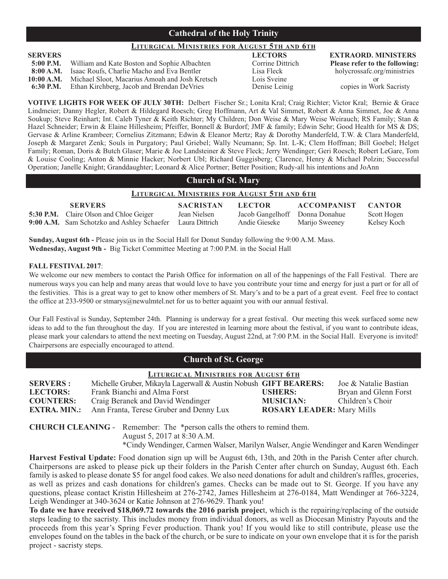#### **Cathedral of the Holy Trinity**

#### **LITURGICAL MINISTRIES FOR AUGUST 5TH AND 6TH**

| $5:00$ P.M. | William and Kate Boston and Sophie Albachten                | Corrine Dittrich | Please refer to th |
|-------------|-------------------------------------------------------------|------------------|--------------------|
|             | <b>8:00 A.M.</b> Isaac Roufs, Charlie Macho and Eva Bentler | Lisa Fleck       | holycrossafc.or    |
| 10:00 A.M.  | Michael Sloot, Macarius Amoah and Josh Kretsch              | Lois Sveine      | or                 |
| 6:30 P.M.   | Ethan Kirchberg, Jacob and Brendan DeVries                  | Denise Leinig    | copies in Wor      |

**SERVERS LECTORS EXTRAORD. MINISTERS 5:00 Please refer to the following:**<br>
Lisa Fleck **Please refer to the following:**<br>  $\frac{1}{2}$ holycrossafc.org/ministries

**6:30 Penise Leinig Copies in Work Sacristy** 

**VOTIVE LIGHTS FOR WEEK OF JULY 30TH:** Delbert Fischer Sr.; Lonita Kral; Craig Richter; Victor Kral; Bernie & Grace Lindmeier; Danny Hegler, Robert & Hildegard Roesch; Greg Hoffmann, Art & Val Simmet, Robert & Anna Simmet, Joe & Anna Soukup; Steve Reinhart; Int. Caleb Tyner & Keith Richter; My Children; Don Weise & Mary Weise Weirauch; RS Family; Stan & Hazel Schneider; Erwin & Elaine Hillesheim; Pfeiffer, Bonnell & Burdorf; JMF & family; Edwin Sehr; Good Health for MS & DS; Gervase & Arline Krambeer; Cornelius Zitzmann; Edwin & Eleanor Mertz; Ray & Dorothy Manderfeld, T.W. & Clara Manderfeld, Joseph & Margaret Zenk; Souls in Purgatory; Paul Griebel; Wally Neumann; Sp. Int. L-K; Clem Hoffman; Bill Goebel; Helget Family; Roman, Doris & Butch Glaser; Marie & Joe Landsteiner & Steve Fleck; Jerry Wendinger; Geri Roesch; Robert LeGare, Tom & Louise Cooling; Anton & Minnie Hacker; Norbert Ubl; Richard Guggisberg; Clarence, Henry & Michael Polzin; Successful Operation; Janelle Knight; Granddaughter; Leonard & Alice Portner; Better Position; Rudy-all his intentions and JoAnn

#### **Church of St. Mary**

| <b>LITURGICAL MINISTRIES FOR AUGUST 5TH AND 6TH</b> |                                                |                  |                                |                    |             |
|-----------------------------------------------------|------------------------------------------------|------------------|--------------------------------|--------------------|-------------|
|                                                     | <b>SERVERS</b>                                 | <b>SACRISTAN</b> | <b>LECTOR</b>                  | ACCOMPANIST CANTOR |             |
|                                                     | <b>5:30 P.M.</b> Claire Olson and Chloe Geiger | Jean Nielsen     | Jacob Gangelhoff Donna Donahue |                    | Scott Hogen |
|                                                     | 9:00 A.M. Sam Schotzko and Ashley Schaefer     | Laura Dittrich   | Andie Gieseke                  | Marijo Sweeney     | Kelsey Koch |

**Sunday, August 6th -** Please join us in the Social Hall for Donut Sunday following the 9:00 A.M. Mass. **Wednesday, August 9th -** Big Ticket Committee Meeting at 7:00 P.M. in the Social Hall

#### **FALL FESTIVAL 2017**:

We welcome our new members to contact the Parish Office for information on all of the happenings of the Fall Festival. There are numerous ways you can help and many areas that would love to have you contribute your time and energy for just a part or for all of the festivities. This is a great way to get to know other members of St. Mary's and to be a part of a great event. Feel free to contact the office at 233-9500 or stmarys@newulmtel.net for us to better aquaint you with our annual festival.

Our Fall Festival is Sunday, September 24th. Planning is underway for a great festival. Our meeting this week surfaced some new ideas to add to the fun throughout the day. If you are interested in learning more about the festival, if you want to contribute ideas, please mark your calendars to attend the next meeting on Tuesday, August 22nd, at 7:00 P.M. in the Social Hall. Everyone is invited! Chairpersons are especially encouraged to attend.

| <b>Church of St. George</b> |  |  |  |
|-----------------------------|--|--|--|
|-----------------------------|--|--|--|

| <b>LITURGICAL MINISTRIES FOR AUGUST 6TH</b> |                                                                  |                                  |                       |
|---------------------------------------------|------------------------------------------------------------------|----------------------------------|-----------------------|
| <b>SERVERS:</b>                             | Michelle Gruber, Mikayla Lagerwall & Austin Nobush GIFT BEARERS: |                                  | Joe & Natalie Bastian |
| <b>LECTORS:</b>                             | Frank Bianchi and Alma Forst                                     | <b>USHERS:</b>                   | Bryan and Glenn Forst |
| <b>COUNTERS:</b>                            | Craig Beranek and David Wendinger                                | <b>MUSICIAN:</b>                 | Children's Choir      |
| <b>EXTRA. MIN.:</b>                         | Ann Franta, Terese Gruber and Denny Lux                          | <b>ROSARY LEADER: Mary Mills</b> |                       |

**CHURCH CLEANING** - Remember: The \*person calls the others to remind them. August 5, 2017 at 8:30 A.M. \*Cindy Wendinger, Carmen Walser, Marilyn Walser, Angie Wendinger and Karen Wendinger

**Harvest Festival Update:** Food donation sign up will be August 6th, 13th, and 20th in the Parish Center after church. Chairpersons are asked to please pick up their folders in the Parish Center after church on Sunday, August 6th. Each family is asked to please donate \$5 for angel food cakes. We also need donations for adult and children's raffles, groceries, as well as prizes and cash donations for children's games. Checks can be made out to St. George. If you have any questions, please contact Kristin Hillesheim at 276-2742, James Hillesheim at 276-0184, Matt Wendinger at 766-3224, Leigh Wendinger at 340-3624 or Katie Johnson at 276-9629. Thank you!

**To date we have received \$18,069.72 towards the 2016 parish projec**t, which is the repairing/replacing of the outside steps leading to the sacristy. This includes money from individual donors, as well as Diocesan Ministry Payouts and the proceeds from this year's Spring Fever production. Thank you! If you would like to still contribute, please use the envelopes found on the tables in the back of the church, or be sure to indicate on your own envelope that it is for the parish project - sacristy steps.